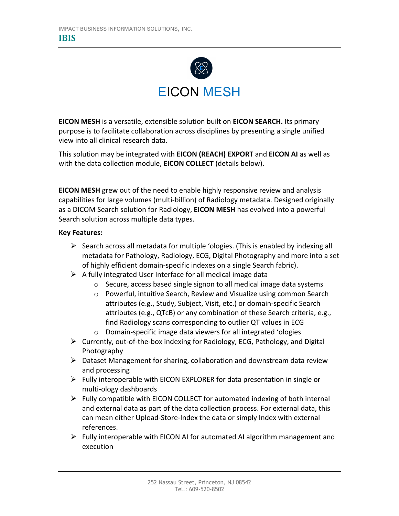

**EICON MESH** is a versatile, extensible solution built on **EICON SEARCH.** Its primary purpose is to facilitate collaboration across disciplines by presenting a single unified view into all clinical research data.

This solution may be integrated with **EICON (REACH) EXPORT** and **EICON AI** as well as with the data collection module, **EICON COLLECT** (details below).

**EICON MESH** grew out of the need to enable highly responsive review and analysis capabilities for large volumes (multi-billion) of Radiology metadata. Designed originally as a DICOM Search solution for Radiology, **EICON MESH** has evolved into a powerful Search solution across multiple data types.

# **Key Features:**

- $\triangleright$  Search across all metadata for multiple 'ologies. (This is enabled by indexing all metadata for Pathology, Radiology, ECG, Digital Photography and more into a set of highly efficient domain-specific indexes on a single Search fabric).
- $\triangleright$  A fully integrated User Interface for all medical image data
	- o Secure, access based single signon to all medical image data systems
	- o Powerful, intuitive Search, Review and Visualize using common Search attributes (e.g., Study, Subject, Visit, etc.) or domain-specific Search attributes (e.g., QTcB) or any combination of these Search criteria, e.g., find Radiology scans corresponding to outlier QT values in ECG
	- o Domain-specific image data viewers for all integrated 'ologies
- $\triangleright$  Currently, out-of-the-box indexing for Radiology, ECG, Pathology, and Digital Photography
- $\triangleright$  Dataset Management for sharing, collaboration and downstream data review and processing
- $\triangleright$  Fully interoperable with EICON EXPLORER for data presentation in single or multi-ology dashboards
- $\triangleright$  Fully compatible with EICON COLLECT for automated indexing of both internal and external data as part of the data collection process. For external data, this can mean either Upload-Store-Index the data or simply Index with external references.
- $\triangleright$  Fully interoperable with EICON AI for automated AI algorithm management and execution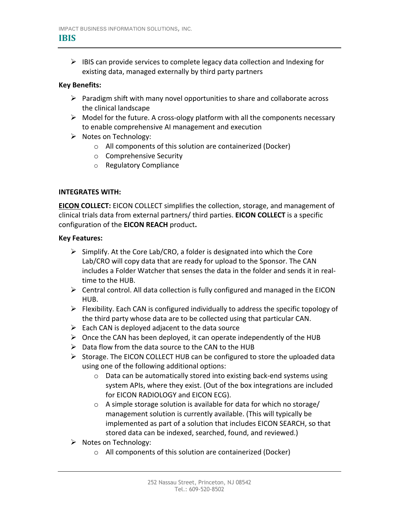### **IBIS**

 $\triangleright$  IBIS can provide services to complete legacy data collection and Indexing for existing data, managed externally by third party partners

## **Key Benefits:**

- $\triangleright$  Paradigm shift with many novel opportunities to share and collaborate across the clinical landscape
- $\triangleright$  Model for the future. A cross-ology platform with all the components necessary to enable comprehensive AI management and execution
- $\triangleright$  Notes on Technology:
	- o All components of this solution are containerized (Docker)
	- o Comprehensive Security
	- o Regulatory Compliance

# **INTEGRATES WITH:**

**EICON COLLECT:** EICON COLLECT simplifies the collection, storage, and management of clinical trials data from external partners/ third parties. **EICON COLLECT** is a specific configuration of the **EICON REACH** product**.**

### **Key Features:**

- $\triangleright$  Simplify. At the Core Lab/CRO, a folder is designated into which the Core Lab/CRO will copy data that are ready for upload to the Sponsor. The CAN includes a Folder Watcher that senses the data in the folder and sends it in realtime to the HUB.
- $\triangleright$  Central control. All data collection is fully configured and managed in the EICON HUB.
- $\triangleright$  Flexibility. Each CAN is configured individually to address the specific topology of the third party whose data are to be collected using that particular CAN.
- $\triangleright$  Each CAN is deployed adjacent to the data source
- $\triangleright$  Once the CAN has been deployed, it can operate independently of the HUB
- $\triangleright$  Data flow from the data source to the CAN to the HUB
- $\triangleright$  Storage. The EICON COLLECT HUB can be configured to store the uploaded data using one of the following additional options:
	- o Data can be automatically stored into existing back-end systems using system APIs, where they exist. (Out of the box integrations are included for EICON RADIOLOGY and EICON ECG).
	- o A simple storage solution is available for data for which no storage/ management solution is currently available. (This will typically be implemented as part of a solution that includes EICON SEARCH, so that stored data can be indexed, searched, found, and reviewed.)
- $\triangleright$  Notes on Technology:
	- o All components of this solution are containerized (Docker)